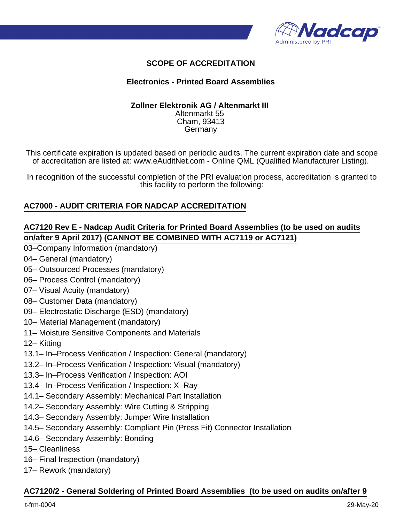

## **SCOPE OF ACCREDITATION**

#### **Electronics - Printed Board Assemblies**

#### **Zollner Elektronik AG / Altenmarkt III**  Altenmarkt 55 Cham, 93413 Germany

This certificate expiration is updated based on periodic audits. The current expiration date and scope of accreditation are listed at: www.eAuditNet.com - Online QML (Qualified Manufacturer Listing).

In recognition of the successful completion of the PRI evaluation process, accreditation is granted to this facility to perform the following:

## **AC7000 - AUDIT CRITERIA FOR NADCAP ACCREDITATION**

### **AC7120 Rev E - Nadcap Audit Criteria for Printed Board Assemblies (to be used on audits on/after 9 April 2017) (CANNOT BE COMBINED WITH AC7119 or AC7121)**

- 03–Company Information (mandatory)
- 04– General (mandatory)
- 05– Outsourced Processes (mandatory)
- 06– Process Control (mandatory)
- 07– Visual Acuity (mandatory)
- 08– Customer Data (mandatory)
- 09– Electrostatic Discharge (ESD) (mandatory)
- 10– Material Management (mandatory)
- 11– Moisture Sensitive Components and Materials
- 12– Kitting
- 13.1– In–Process Verification / Inspection: General (mandatory)
- 13.2– In–Process Verification / Inspection: Visual (mandatory)
- 13.3– In–Process Verification / Inspection: AOI
- 13.4– In–Process Verification / Inspection: X–Ray
- 14.1– Secondary Assembly: Mechanical Part Installation
- 14.2– Secondary Assembly: Wire Cutting & Stripping
- 14.3– Secondary Assembly: Jumper Wire Installation
- 14.5– Secondary Assembly: Compliant Pin (Press Fit) Connector Installation
- 14.6– Secondary Assembly: Bonding
- 15– Cleanliness
- 16– Final Inspection (mandatory)
- 17– Rework (mandatory)

#### **AC7120/2 - General Soldering of Printed Board Assemblies (to be used on audits on/after 9**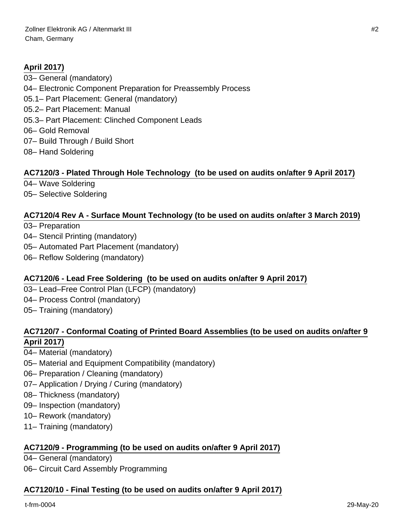# **April 2017)**

03– General (mandatory) 04– Electronic Component Preparation for Preassembly Process 05.1– Part Placement: General (mandatory) 05.2– Part Placement: Manual 05.3– Part Placement: Clinched Component Leads 06– Gold Removal 07– Build Through / Build Short 08– Hand Soldering

## **AC7120/3 - Plated Through Hole Technology (to be used on audits on/after 9 April 2017)**

04– Wave Soldering

05– Selective Soldering

#### **AC7120/4 Rev A - Surface Mount Technology (to be used on audits on/after 3 March 2019)**

03– Preparation

- 04– Stencil Printing (mandatory)
- 05– Automated Part Placement (mandatory)
- 06– Reflow Soldering (mandatory)

#### **AC7120/6 - Lead Free Soldering (to be used on audits on/after 9 April 2017)**

03– Lead–Free Control Plan (LFCP) (mandatory) 04– Process Control (mandatory) 05– Training (mandatory)

## **AC7120/7 - Conformal Coating of Printed Board Assemblies (to be used on audits on/after 9 April 2017)**

- 04– Material (mandatory)
- 05– Material and Equipment Compatibility (mandatory)
- 06– Preparation / Cleaning (mandatory)
- 07– Application / Drying / Curing (mandatory)
- 08– Thickness (mandatory)
- 09– Inspection (mandatory)
- 10– Rework (mandatory)
- 11– Training (mandatory)

#### **AC7120/9 - Programming (to be used on audits on/after 9 April 2017)**

04– General (mandatory)

06– Circuit Card Assembly Programming

#### **AC7120/10 - Final Testing (to be used on audits on/after 9 April 2017)**